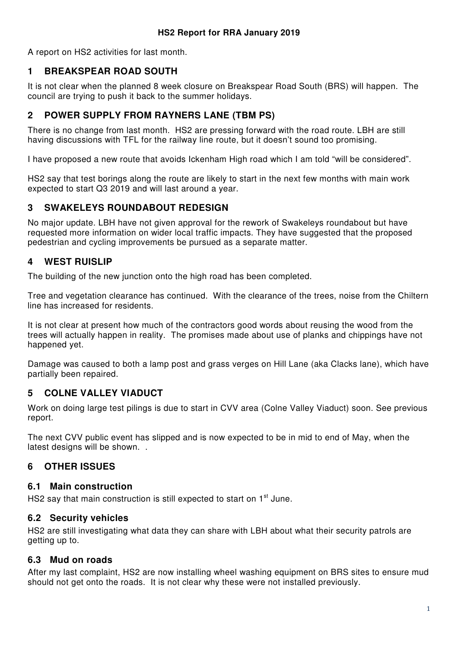A report on HS2 activities for last month.

#### **1 BREAKSPEAR ROAD SOUTH**

It is not clear when the planned 8 week closure on Breakspear Road South (BRS) will happen. The council are trying to push it back to the summer holidays.

### **2 POWER SUPPLY FROM RAYNERS LANE (TBM PS)**

There is no change from last month. HS2 are pressing forward with the road route. LBH are still having discussions with TFL for the railway line route, but it doesn't sound too promising.

I have proposed a new route that avoids Ickenham High road which I am told "will be considered".

HS2 say that test borings along the route are likely to start in the next few months with main work expected to start Q3 2019 and will last around a year.

### **3 SWAKELEYS ROUNDABOUT REDESIGN**

No major update. LBH have not given approval for the rework of Swakeleys roundabout but have requested more information on wider local traffic impacts. They have suggested that the proposed pedestrian and cycling improvements be pursued as a separate matter.

# **4 WEST RUISLIP**

The building of the new junction onto the high road has been completed.

Tree and vegetation clearance has continued. With the clearance of the trees, noise from the Chiltern line has increased for residents.

It is not clear at present how much of the contractors good words about reusing the wood from the trees will actually happen in reality. The promises made about use of planks and chippings have not happened yet.

Damage was caused to both a lamp post and grass verges on Hill Lane (aka Clacks lane), which have partially been repaired.

### **5 COLNE VALLEY VIADUCT**

Work on doing large test pilings is due to start in CVV area (Colne Valley Viaduct) soon. See previous report.

The next CVV public event has slipped and is now expected to be in mid to end of May, when the latest designs will be shown. .

### **6 OTHER ISSUES**

#### **6.1 Main construction**

HS2 say that main construction is still expected to start on 1<sup>st</sup> June.

### **6.2 Security vehicles**

HS2 are still investigating what data they can share with LBH about what their security patrols are getting up to.

### **6.3 Mud on roads**

After my last complaint, HS2 are now installing wheel washing equipment on BRS sites to ensure mud should not get onto the roads. It is not clear why these were not installed previously.